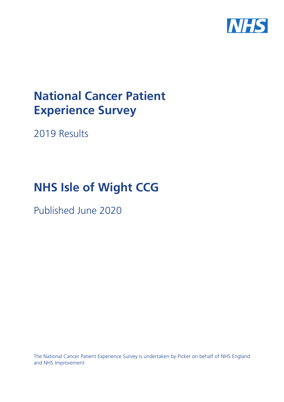

# **National Cancer Patient Experience Survey**

2019 Results

# **NHS Isle of Wight CCG**

Published June 2020

The National Cancer Patient Experience Survey is undertaken by Picker on behalf of NHS England and NHS Improvement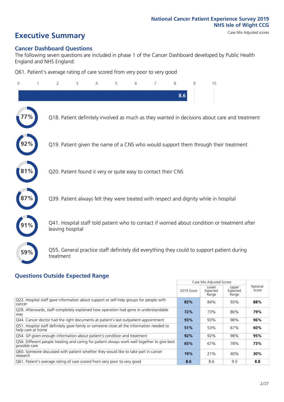# **Executive Summary** Case Mix Adjusted scores

### **Cancer Dashboard Questions**

The following seven questions are included in phase 1 of the Cancer Dashboard developed by Public Health England and NHS England:

Q61. Patient's average rating of care scored from very poor to very good

| 0   | 2                                                             | 3 | 4 | 5 | 6 | 7 | 8   | 9 | 10                                                                                            |  |
|-----|---------------------------------------------------------------|---|---|---|---|---|-----|---|-----------------------------------------------------------------------------------------------|--|
|     |                                                               |   |   |   |   |   | 8.6 |   |                                                                                               |  |
|     |                                                               |   |   |   |   |   |     |   | Q18. Patient definitely involved as much as they wanted in decisions about care and treatment |  |
|     |                                                               |   |   |   |   |   |     |   | Q19. Patient given the name of a CNS who would support them through their treatment           |  |
| 81% | Q20. Patient found it very or quite easy to contact their CNS |   |   |   |   |   |     |   |                                                                                               |  |
|     |                                                               |   |   |   |   |   |     |   | Q39. Patient always felt they were treated with respect and dignity while in hospital         |  |
|     | leaving hospital                                              |   |   |   |   |   |     |   | Q41. Hospital staff told patient who to contact if worried about condition or treatment after |  |
| 59% | treatment                                                     |   |   |   |   |   |     |   | Q55. General practice staff definitely did everything they could to support patient during    |  |

### **Questions Outside Expected Range**

| $\sim$ 0.000 at 0.100 $\sim$ 0.100 at 0.100 $\sim$ 0.110 at 0.100 at 0.100 at 0.100 at 0.100 at 0.100 at 0.100 at 0.100 at 0.100 at 0.100 at 0.100 at 0.100 at 0.110 at 0.110 at 0.110 at 0.110 at 0.110 at 0.110 at 0.110 at 0.110 |            |                            |                            |                   |
|-------------------------------------------------------------------------------------------------------------------------------------------------------------------------------------------------------------------------------------|------------|----------------------------|----------------------------|-------------------|
|                                                                                                                                                                                                                                     |            | Case Mix Adjusted Scores   |                            |                   |
|                                                                                                                                                                                                                                     | 2019 Score | Lower<br>Expected<br>Range | Upper<br>Expected<br>Range | National<br>Score |
| Q22. Hospital staff gave information about support or self-help groups for people with<br>cancer                                                                                                                                    | 83%        | 84%                        | 93%                        | 88%               |
| Q28. Afterwards, staff completely explained how operation had gone in understandable<br>way                                                                                                                                         | 72%        | 73%                        | 86%                        | 79%               |
| Q44. Cancer doctor had the right documents at patient's last outpatient appointment                                                                                                                                                 | 93%        | 93%                        | 98%                        | 96%               |
| Q51. Hospital staff definitely gave family or someone close all the information needed to<br>help care at home                                                                                                                      | 51%        | 53%                        | 67%                        | 60%               |
| Q54. GP given enough information about patient's condition and treatment                                                                                                                                                            | 92%        | 92%                        | 98%                        | 95%               |
| Q56. Different people treating and caring for patient always work well together to give best<br>possible care                                                                                                                       | 65%        | 67%                        | 78%                        | 73%               |
| Q60. Someone discussed with patient whether they would like to take part in cancer<br>research                                                                                                                                      | 19%        | 21%                        | 40%                        | 30%               |
| Q61. Patient's average rating of care scored from very poor to very good                                                                                                                                                            | 8.6        | 8.6                        | 9.0                        | 8.8               |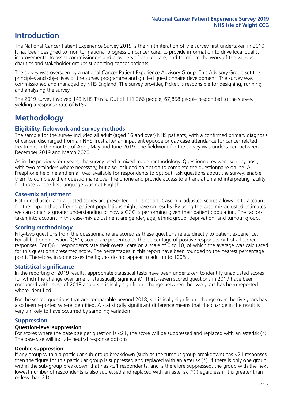## **Introduction**

The National Cancer Patient Experience Survey 2019 is the ninth iteration of the survey first undertaken in 2010. It has been designed to monitor national progress on cancer care; to provide information to drive local quality improvements; to assist commissioners and providers of cancer care; and to inform the work of the various charities and stakeholder groups supporting cancer patients.

The survey was overseen by a national Cancer Patient Experience Advisory Group. This Advisory Group set the principles and objectives of the survey programme and guided questionnaire development. The survey was commissioned and managed by NHS England. The survey provider, Picker, is responsible for designing, running and analysing the survey.

The 2019 survey involved 143 NHS Trusts. Out of 111,366 people, 67,858 people responded to the survey, yielding a response rate of 61%.

# **Methodology**

### **Eligibility, eldwork and survey methods**

The sample for the survey included all adult (aged 16 and over) NHS patients, with a confirmed primary diagnosis of cancer, discharged from an NHS Trust after an inpatient episode or day case attendance for cancer related treatment in the months of April, May and June 2019. The fieldwork for the survey was undertaken between December 2019 and March 2020.

As in the previous four years, the survey used a mixed mode methodology. Questionnaires were sent by post, with two reminders where necessary, but also included an option to complete the questionnaire online. A Freephone helpline and email was available for respondents to opt out, ask questions about the survey, enable them to complete their questionnaire over the phone and provide access to a translation and interpreting facility for those whose first language was not English.

### **Case-mix adjustment**

Both unadjusted and adjusted scores are presented in this report. Case-mix adjusted scores allows us to account for the impact that differing patient populations might have on results. By using the case-mix adjusted estimates we can obtain a greater understanding of how a CCG is performing given their patient population. The factors taken into account in this case-mix adjustment are gender, age, ethnic group, deprivation, and tumour group.

### **Scoring methodology**

Fifty-two questions from the questionnaire are scored as these questions relate directly to patient experience. For all but one question (Q61), scores are presented as the percentage of positive responses out of all scored responses. For Q61, respondents rate their overall care on a scale of 0 to 10, of which the average was calculated for this question's presented score. The percentages in this report have been rounded to the nearest percentage point. Therefore, in some cases the figures do not appear to add up to 100%.

### **Statistical significance**

In the reporting of 2019 results, appropriate statistical tests have been undertaken to identify unadjusted scores for which the change over time is 'statistically significant'. Thirty-seven scored questions in 2019 have been compared with those of 2018 and a statistically significant change between the two years has been reported where identified.

For the scored questions that are comparable beyond 2018, statistically significant change over the five years has also been reported where identified. A statistically significant difference means that the change in the result is very unlikely to have occurred by sampling variation.

### **Suppression**

### **Question-level suppression**

For scores where the base size per question is  $<$ 21, the score will be suppressed and replaced with an asterisk (\*). The base size will include neutral response options.

### **Double suppression**

If any group within a particular sub-group breakdown (such as the tumour group breakdown) has <21 responses, then the figure for this particular group is suppressed and replaced with an asterisk (\*). If there is only one group within the sub-group breakdown that has <21 respondents, and is therefore suppressed, the group with the next lowest number of respondents is also supressed and replaced with an asterisk (\*) (regardless if it is greater than or less than 21).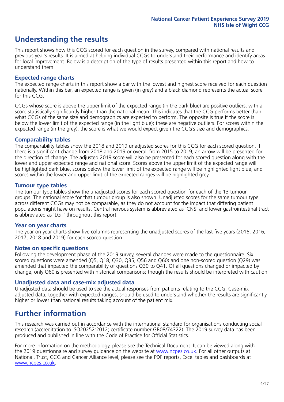# **Understanding the results**

This report shows how this CCG scored for each question in the survey, compared with national results and previous year's results. It is aimed at helping individual CCGs to understand their performance and identify areas for local improvement. Below is a description of the type of results presented within this report and how to understand them.

### **Expected range charts**

The expected range charts in this report show a bar with the lowest and highest score received for each question nationally. Within this bar, an expected range is given (in grey) and a black diamond represents the actual score for this CCG.

CCGs whose score is above the upper limit of the expected range (in the dark blue) are positive outliers, with a score statistically significantly higher than the national mean. This indicates that the CCG performs better than what CCGs of the same size and demographics are expected to perform. The opposite is true if the score is below the lower limit of the expected range (in the light blue); these are negative outliers. For scores within the expected range (in the grey), the score is what we would expect given the CCG's size and demographics.

### **Comparability tables**

The comparability tables show the 2018 and 2019 unadjusted scores for this CCG for each scored question. If there is a significant change from 2018 and 2019 or overall from 2015 to 2019, an arrow will be presented for the direction of change. The adjusted 2019 score will also be presented for each scored question along with the lower and upper expected range and national score. Scores above the upper limit of the expected range will be highlighted dark blue, scores below the lower limit of the expected range will be highlighted light blue, and scores within the lower and upper limit of the expected ranges will be highlighted grey.

### **Tumour type tables**

The tumour type tables show the unadjusted scores for each scored question for each of the 13 tumour groups. The national score for that tumour group is also shown. Unadjusted scores for the same tumour type across different CCGs may not be comparable, as they do not account for the impact that differing patient populations might have on results. Central nervous system is abbreviated as 'CNS' and lower gastrointestinal tract is abbreviated as 'LGT' throughout this report.

### **Year on year charts**

The year on year charts show five columns representing the unadjusted scores of the last five years (2015, 2016, 2017, 2018 and 2019) for each scored question.

#### **Notes on specific questions**

Following the development phase of the 2019 survey, several changes were made to the questionnaire. Six scored questions were amended (Q5, Q18, Q30, Q35, Q56 and Q60) and one non-scored question (Q29) was amended that impacted the comparability of questions Q30 to Q41. Of all questions changed or impacted by change, only Q60 is presented with historical comparisons; though the results should be interpreted with caution.

### **Unadjusted data and case-mix adjusted data**

Unadjusted data should be used to see the actual responses from patients relating to the CCG. Case-mix adjusted data, together with expected ranges, should be used to understand whether the results are significantly higher or lower than national results taking account of the patient mix.

### **Further information**

This research was carried out in accordance with the international standard for organisations conducting social research (accreditation to ISO20252:2012; certificate number GB08/74322). The 2019 survey data has been produced and published in line with the Code of Practice for Official Statistics.

For more information on the methodology, please see the Technical Document. It can be viewed along with the 2019 questionnaire and survey quidance on the website at [www.ncpes.co.uk](https://www.ncpes.co.uk/supporting-documents). For all other outputs at National, Trust, CCG and Cancer Alliance level, please see the PDF reports, Excel tables and dashboards at [www.ncpes.co.uk.](https://www.ncpes.co.uk/current-results)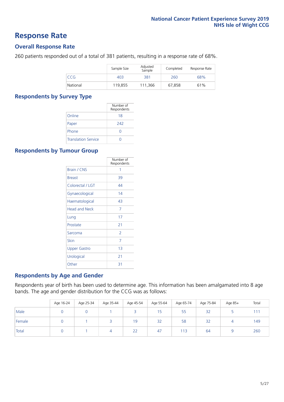### **Response Rate**

### **Overall Response Rate**

260 patients responded out of a total of 381 patients, resulting in a response rate of 68%.

|          | Sample Size | Adjusted<br>Sample | Completed | Response Rate |
|----------|-------------|--------------------|-----------|---------------|
| CCG      | 403         | 381                | 260       | 68%           |
| National | 119.855     | 111.366            | 67.858    | 61%           |

### **Respondents by Survey Type**

|                            | Number of<br>Respondents |
|----------------------------|--------------------------|
| Online                     | 18                       |
| Paper                      | 242                      |
| Phone                      |                          |
| <b>Translation Service</b> |                          |

### **Respondents by Tumour Group**

|                      | Number of<br>Respondents |
|----------------------|--------------------------|
| <b>Brain / CNS</b>   | 1                        |
| <b>Breast</b>        | 39                       |
| Colorectal / LGT     | 44                       |
| Gynaecological       | 14                       |
| Haematological       | 43                       |
| <b>Head and Neck</b> | 7                        |
| Lung                 | 17                       |
| Prostate             | 21                       |
| Sarcoma              | $\mathcal{P}$            |
| Skin                 | 7                        |
| Upper Gastro         | 1 <sub>3</sub>           |
| Urological           | 21                       |
| Other                | 31                       |

### **Respondents by Age and Gender**

Respondents year of birth has been used to determine age. This information has been amalgamated into 8 age bands. The age and gender distribution for the CCG was as follows:

|        | Age 16-24 | Age 25-34 | Age 35-44 | Age 45-54 | Age 55-64 | Age 65-74 | Age 75-84 | Age 85+ | Total |
|--------|-----------|-----------|-----------|-----------|-----------|-----------|-----------|---------|-------|
| Male   |           |           |           |           | 15        | 55        | 32        |         | 111   |
| Female |           |           |           | 19        | 32        | 58        | 32        |         | 149   |
| Total  |           |           | 4         | 22        | 47        | 113       | 64        |         | 260   |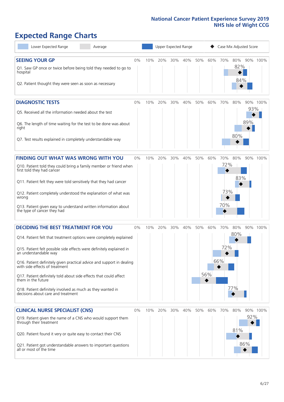# **Expected Range Charts**

| Lower Expected Range<br>Average                                                                                                                                                                                                                | Upper Expected Range<br>Case Mix Adjusted Score |     |         |     |     |     |     |            |                   |            |          |
|------------------------------------------------------------------------------------------------------------------------------------------------------------------------------------------------------------------------------------------------|-------------------------------------------------|-----|---------|-----|-----|-----|-----|------------|-------------------|------------|----------|
| <b>SEEING YOUR GP</b><br>Q1. Saw GP once or twice before being told they needed to go to<br>hospital<br>Q2. Patient thought they were seen as soon as necessary                                                                                | 0%                                              | 10% | 20%     | 30% | 40% | 50% | 60% | 70%        | 80%<br>82%<br>84% |            | 90% 100% |
| <b>DIAGNOSTIC TESTS</b><br>Q5. Received all the information needed about the test<br>Q6. The length of time waiting for the test to be done was about<br>right                                                                                 | $0\%$                                           | 10% | 20%     | 30% | 40% | 50% | 60% | 70%        | 80%               | 93%<br>89% | 90% 100% |
| Q7. Test results explained in completely understandable way                                                                                                                                                                                    |                                                 |     |         |     |     |     |     |            | 80%               |            |          |
| FINDING OUT WHAT WAS WRONG WITH YOU<br>Q10. Patient told they could bring a family member or friend when<br>first told they had cancer                                                                                                         | $0\%$                                           | 10% | 20%     | 30% | 40% | 50% | 60% | 70%<br>72% | 80%<br>83%        |            | 90% 100% |
| Q11. Patient felt they were told sensitively that they had cancer<br>Q12. Patient completely understood the explanation of what was<br>wrong<br>Q13. Patient given easy to understand written information about<br>the type of cancer they had |                                                 |     |         |     |     |     |     | 73%<br>70% |                   |            |          |
| <b>DECIDING THE BEST TREATMENT FOR YOU</b>                                                                                                                                                                                                     | 0%                                              | 10% | 20%     | 30% | 40% | 50% | 60% | 70%        | 80%<br>80%        |            | 90% 100% |
| Q14. Patient felt that treatment options were completely explained<br>Q15. Patient felt possible side effects were definitely explained in<br>an understandable way<br>Q16. Patient definitely given practical advice and support in dealing   |                                                 |     |         |     |     |     |     | 72%<br>66% |                   |            |          |
| with side effects of treatment<br>Q17. Patient definitely told about side effects that could affect<br>them in the future<br>Q18. Patient definitely involved as much as they wanted in<br>decisions about care and treatment                  |                                                 |     |         |     |     |     | 56% |            | 77%               |            |          |
| <b>CLINICAL NURSE SPECIALIST (CNS)</b>                                                                                                                                                                                                         | $0\%$                                           |     | 10% 20% | 30% | 40% | 50% | 60% | 70%        | 80%               |            | 90% 100% |
| Q19. Patient given the name of a CNS who would support them<br>through their treatment<br>Q20. Patient found it very or quite easy to contact their CNS                                                                                        |                                                 |     |         |     |     |     |     |            | 81%               | 92%<br>86% |          |
| Q21. Patient got understandable answers to important questions<br>all or most of the time                                                                                                                                                      |                                                 |     |         |     |     |     |     |            |                   |            |          |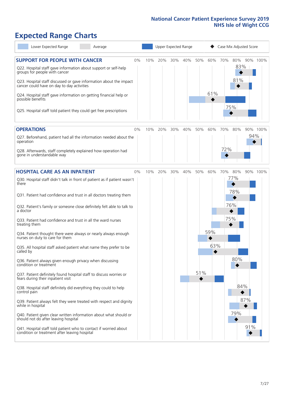# **Expected Range Charts**

| Lower Expected Range<br>Average                                                                                                                                                                            |    | Upper Expected Range |     |     |     |     |     | Case Mix Adjusted Score |                   |     |          |  |
|------------------------------------------------------------------------------------------------------------------------------------------------------------------------------------------------------------|----|----------------------|-----|-----|-----|-----|-----|-------------------------|-------------------|-----|----------|--|
| <b>SUPPORT FOR PEOPLE WITH CANCER</b><br>Q22. Hospital staff gave information about support or self-help<br>groups for people with cancer                                                                  | 0% | 10%                  | 20% | 30% | 40% | 50% | 60% | 70%                     | 80%<br>83%<br>81% |     | 90% 100% |  |
| Q23. Hospital staff discussed or gave information about the impact<br>cancer could have on day to day activities<br>Q24. Hospital staff gave information on getting financial help or<br>possible benefits |    |                      |     |     |     |     | 61% |                         |                   |     |          |  |
| Q25. Hospital staff told patient they could get free prescriptions                                                                                                                                         |    |                      |     |     |     |     |     | 75%                     |                   |     |          |  |
| <b>OPERATIONS</b>                                                                                                                                                                                          | 0% | 10%                  | 20% | 30% | 40% | 50% | 60% | 70%                     | 80%               |     | 90% 100% |  |
| Q27. Beforehand, patient had all the information needed about the<br>operation                                                                                                                             |    |                      |     |     |     |     |     |                         |                   | 94% |          |  |
| Q28. Afterwards, staff completely explained how operation had<br>gone in understandable way                                                                                                                |    |                      |     |     |     |     |     | 72%                     |                   |     |          |  |
| <b>HOSPITAL CARE AS AN INPATIENT</b>                                                                                                                                                                       | 0% | 10%                  | 20% | 30% | 40% | 50% | 60% | 70%                     | 80%               |     | 90% 100% |  |
| Q30. Hospital staff didn't talk in front of patient as if patient wasn't<br>there                                                                                                                          |    |                      |     |     |     |     |     |                         | 77%               |     |          |  |
| Q31. Patient had confidence and trust in all doctors treating them                                                                                                                                         |    |                      |     |     |     |     |     |                         | 78%               |     |          |  |
| Q32. Patient's family or someone close definitely felt able to talk to<br>a doctor                                                                                                                         |    |                      |     |     |     |     |     | 76%                     |                   |     |          |  |
| Q33. Patient had confidence and trust in all the ward nurses<br>treating them                                                                                                                              |    |                      |     |     |     |     |     | 75%                     |                   |     |          |  |
| Q34. Patient thought there were always or nearly always enough<br>nurses on duty to care for them                                                                                                          |    |                      |     |     |     |     | 59% |                         |                   |     |          |  |
| Q35. All hospital staff asked patient what name they prefer to be<br>called by                                                                                                                             |    |                      |     |     |     |     | 63% |                         |                   |     |          |  |
| Q36. Patient always given enough privacy when discussing<br>condition or treatment                                                                                                                         |    |                      |     |     |     |     |     |                         | 80%               |     |          |  |
| Q37. Patient definitely found hospital staff to discuss worries or<br>fears during their inpatient visit                                                                                                   |    |                      |     |     |     | 51% |     |                         |                   |     |          |  |
| Q38. Hospital staff definitely did everything they could to help<br>control pain                                                                                                                           |    |                      |     |     |     |     |     |                         | 84%               |     |          |  |
| Q39. Patient always felt they were treated with respect and dignity<br>while in hospital                                                                                                                   |    |                      |     |     |     |     |     |                         | 87%               |     |          |  |
| Q40. Patient given clear written information about what should or<br>should not do after leaving hospital                                                                                                  |    |                      |     |     |     |     |     |                         | 79%               |     |          |  |
| Q41. Hospital staff told patient who to contact if worried about<br>condition or treatment after leaving hospital                                                                                          |    |                      |     |     |     |     |     |                         |                   | 91% |          |  |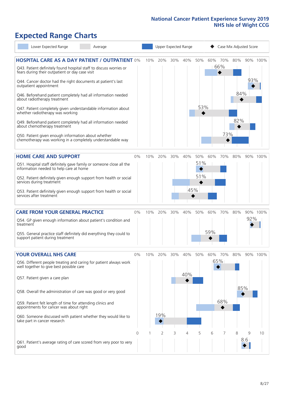# **Expected Range Charts**

| Lower Expected Range                                                                                                                                                                                                                                                                                                                                                                                                                                                                                                                                                                                                                                                                                   | Average |              | Upper Expected Range |     |            |                   |            | Case Mix Adjusted Score    |                   |          |          |
|--------------------------------------------------------------------------------------------------------------------------------------------------------------------------------------------------------------------------------------------------------------------------------------------------------------------------------------------------------------------------------------------------------------------------------------------------------------------------------------------------------------------------------------------------------------------------------------------------------------------------------------------------------------------------------------------------------|---------|--------------|----------------------|-----|------------|-------------------|------------|----------------------------|-------------------|----------|----------|
| <b>HOSPITAL CARE AS A DAY PATIENT / OUTPATIENT 0%</b><br>Q43. Patient definitely found hospital staff to discuss worries or<br>fears during their outpatient or day case visit<br>Q44. Cancer doctor had the right documents at patient's last<br>outpatient appointment<br>Q46. Beforehand patient completely had all information needed<br>about radiotherapy treatment<br>Q47. Patient completely given understandable information about<br>whether radiotherapy was working<br>Q49. Beforehand patient completely had all information needed<br>about chemotherapy treatment<br>Q50. Patient given enough information about whether<br>chemotherapy was working in a completely understandable way |         | 10%          | 20%                  | 30% | 40%        | 50%<br>53%        |            | 60% 70%<br>66%<br>◆<br>73% | 80%<br>84%<br>82% | 93%      | 90% 100% |
| <b>HOME CARE AND SUPPORT</b><br>Q51. Hospital staff definitely gave family or someone close all the<br>information needed to help care at home<br>Q52. Patient definitely given enough support from health or social<br>services during treatment<br>Q53. Patient definitely given enough support from health or social<br>services after treatment                                                                                                                                                                                                                                                                                                                                                    |         | 0%<br>10%    | 20%                  | 30% | 40%<br>45% | 50%<br>51%<br>51% | 60%        | 70%                        | 80%               |          | 90% 100% |
| <b>CARE FROM YOUR GENERAL PRACTICE</b><br>Q54. GP given enough information about patient's condition and<br>treatment<br>Q55. General practice staff definitely did everything they could to<br>support patient during treatment                                                                                                                                                                                                                                                                                                                                                                                                                                                                       |         | 0%<br>10%    | 20%                  | 30% | 40%        | 50%               | 60%<br>59% | 70%                        | 80%               | 92%      | 90% 100% |
| <b>YOUR OVERALL NHS CARE</b><br>Q56. Different people treating and caring for patient always work<br>well together to give best possible care<br>Q57. Patient given a care plan<br>Q58. Overall the administration of care was good or very good<br>Q59. Patient felt length of time for attending clinics and<br>appointments for cancer was about right<br>Q60. Someone discussed with patient whether they would like to<br>take part in cancer research                                                                                                                                                                                                                                            |         | $0\%$<br>10% | 20%<br>19%           | 30% | 40%<br>40% | 50%               | 60%        | 70%<br>65%<br>68%          | 80%               | 85%      | 90% 100% |
| Q61. Patient's average rating of care scored from very poor to very<br>good                                                                                                                                                                                                                                                                                                                                                                                                                                                                                                                                                                                                                            |         | 0            | 2                    | 3   | 4          | 5                 | 6          |                            | 8                 | 9<br>8.6 | 10       |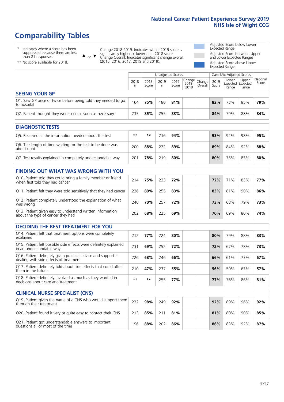# **Comparability Tables**

\* Indicates where a score has been suppressed because there are less than 21 responses.

\*\* No score available for 2018.

 $\triangle$  or  $\nabla$ 

Change 2018-2019: Indicates where 2019 score is significantly higher or lower than 2018 score Change Overall: Indicates significant change overall (2015, 2016, 2017, 2018 and 2019).

Adjusted Score below Lower Expected Range Adjusted Score between Upper and Lower Expected Ranges Adjusted Score above Upper Expected Range

|                                                                             |           |               | Unadjusted Scores |               |                                                 |         |               | Case Mix Adjusted Scores |                                            |                   |
|-----------------------------------------------------------------------------|-----------|---------------|-------------------|---------------|-------------------------------------------------|---------|---------------|--------------------------|--------------------------------------------|-------------------|
|                                                                             | 2018<br>n | 2018<br>Score | 2019<br>n         | 2019<br>Score | $  \overline{Change}  $ Change<br>2018-<br>2019 | Overall | 2019<br>Score | Lower<br>Range           | Upper<br><b>Expected Expected</b><br>Range | National<br>Score |
| <b>SEEING YOUR GP</b>                                                       |           |               |                   |               |                                                 |         |               |                          |                                            |                   |
| Q1. Saw GP once or twice before being told they needed to go<br>to hospital | 164       | 75%           | 180               | 81%           |                                                 |         | 82%           | 73%                      | 85%                                        | 79%               |
| Q2. Patient thought they were seen as soon as necessary                     | 235       | 85%           | 255               | 83%           |                                                 |         | 84%           | 79%                      | 88%                                        | 84%               |
| <b>DIAGNOSTIC TESTS</b>                                                     |           |               |                   |               |                                                 |         |               |                          |                                            |                   |
| O5. Received all the information needed about the test                      | $***$     | **            | 216               | 94%           |                                                 |         | 93%           | 92%                      | 98%                                        | 95%               |

| Q5. Received all the implifiation needed about the test                   | .   | .   |     | <b>9470</b> |  | 75 א | 94 70 | 20 70 | 9370. |
|---------------------------------------------------------------------------|-----|-----|-----|-------------|--|------|-------|-------|-------|
| Q6. The length of time waiting for the test to be done was<br>about right | 200 | 88% | 222 | 89%         |  | 89%  | 84%   | 92%   | 88%   |
| Q7. Test results explained in completely understandable way               | 201 | 78% | 219 | 80%         |  | 80%  | 75%   | 85%   | 80%   |

| <b>FINDING OUT WHAT WAS WRONG WITH YOU</b>                                                      |     |     |     |     |     |     |     |     |
|-------------------------------------------------------------------------------------------------|-----|-----|-----|-----|-----|-----|-----|-----|
| Q10. Patient told they could bring a family member or friend<br>when first told they had cancer | 214 | 75% | 233 | 72% | 72% | 71% | 83% | 77% |
| Q11. Patient felt they were told sensitively that they had cancer                               | 236 | 80% | 255 | 83% | 83% | 81% | 90% | 86% |
| Q12. Patient completely understood the explanation of what<br>was wrong                         | 240 | 70% | 257 | 72% | 73% | 68% | 79% | 73% |
| Q13. Patient given easy to understand written information<br>about the type of cancer they had  | 202 | 68% | 225 | 69% | 70% | 69% | 80% | 74% |

| <b>DECIDING THE BEST TREATMENT FOR YOU</b>                                                              |      |     |     |     |     |     |     |     |
|---------------------------------------------------------------------------------------------------------|------|-----|-----|-----|-----|-----|-----|-----|
| Q14. Patient felt that treatment options were completely<br>explained                                   | 212  | 77% | 224 | 80% | 80% | 79% | 88% | 83% |
| Q15. Patient felt possible side effects were definitely explained<br>in an understandable way           | 231  | 69% | 252 | 72% | 72% | 67% | 78% | 73% |
| Q16. Patient definitely given practical advice and support in<br>dealing with side effects of treatment | 226  | 68% | 246 | 66% | 66% | 61% | 73% | 67% |
| Q17. Patient definitely told about side effects that could affect<br>them in the future                 | 210  | 47% | 237 | 55% | 56% | 50% | 63% | 57% |
| Q18. Patient definitely involved as much as they wanted in<br>decisions about care and treatment        | $**$ | **  | 255 | 77% | 77% | 76% | 86% | 81% |

| <b>CLINICAL NURSE SPECIALIST (CNS)</b>                                                    |     |     |     |     |  |     |     |     |     |
|-------------------------------------------------------------------------------------------|-----|-----|-----|-----|--|-----|-----|-----|-----|
| Q19. Patient given the name of a CNS who would support them<br>through their treatment    | 232 | 98% | 249 | 92% |  | 92% | 89% | 96% | 92% |
| Q20. Patient found it very or quite easy to contact their CNS                             | 213 | 85% | 211 | 81% |  | 81% | 80% | 90% | 85% |
| Q21. Patient got understandable answers to important<br>questions all or most of the time | 196 | 88% | 202 | 86% |  | 86% | 83% | 92% | 87% |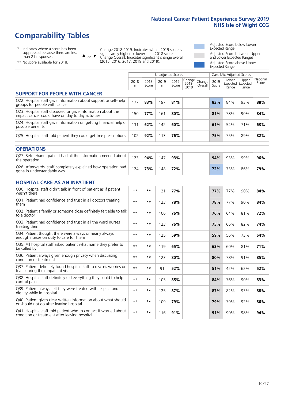# **Comparability Tables**

\* Indicates where a score has been suppressed because there are less than 21 responses.

\*\* No score available for 2018.

 $\triangle$  or  $\nabla$ 

Change 2018-2019: Indicates where 2019 score is significantly higher or lower than 2018 score Change Overall: Indicates significant change overall (2015, 2016, 2017, 2018 and 2019).

Adjusted Score below Lower Expected Range Adjusted Score between Upper and Lower Expected Ranges Adjusted Score above Upper Expected Range

|                                                                                                                   |              |               |            | <b>Unadjusted Scores</b> |                         |                   |               | Case Mix Adjusted Scores            |                |                   |
|-------------------------------------------------------------------------------------------------------------------|--------------|---------------|------------|--------------------------|-------------------------|-------------------|---------------|-------------------------------------|----------------|-------------------|
|                                                                                                                   | 2018<br>n    | 2018<br>Score | 2019<br>n. | 2019<br>Score            | Change<br>2018-<br>2019 | Change<br>Overall | 2019<br>Score | Lower<br>Expected Expected<br>Range | Upper<br>Range | National<br>Score |
| <b>SUPPORT FOR PEOPLE WITH CANCER</b>                                                                             |              |               |            |                          |                         |                   |               |                                     |                |                   |
| Q22. Hospital staff gave information about support or self-help<br>groups for people with cancer                  | 177          | 83%           | 197        | 81%                      |                         |                   | 83%           | 84%                                 | 93%            | 88%               |
| Q23. Hospital staff discussed or gave information about the<br>impact cancer could have on day to day activities  | 150          | 77%           | 161        | 80%                      |                         |                   | 81%           | 78%                                 | 90%            | 84%               |
| Q24. Hospital staff gave information on getting financial help or<br>possible benefits                            | 131          | 62%           | 142        | 60%                      |                         |                   | 61%           | 54%                                 | 71%            | 63%               |
| Q25. Hospital staff told patient they could get free prescriptions                                                | 102          | 92%           | 113        | 76%                      |                         |                   | 75%           | 75%                                 | 89%            | 82%               |
| <b>OPERATIONS</b>                                                                                                 |              |               |            |                          |                         |                   |               |                                     |                |                   |
| Q27. Beforehand, patient had all the information needed about<br>the operation                                    | 123          | 94%           | 147        | 93%                      |                         |                   | 94%           | 93%                                 | 99%            | 96%               |
| Q28. Afterwards, staff completely explained how operation had<br>gone in understandable way                       | 124          | 73%           | 148        | 72%                      |                         |                   | 72%           | 73%                                 | 86%            | 79%               |
| <b>HOSPITAL CARE AS AN INPATIENT</b>                                                                              |              |               |            |                          |                         |                   |               |                                     |                |                   |
| Q30. Hospital staff didn't talk in front of patient as if patient<br>wasn't there                                 | $* *$        | **            | 121        | 77%                      |                         |                   | 77%           | 77%                                 | 90%            | 84%               |
| Q31. Patient had confidence and trust in all doctors treating<br>them                                             | $**$         | $***$         | 123        | 78%                      |                         |                   | 78%           | 77%                                 | 90%            | 84%               |
| Q32. Patient's family or someone close definitely felt able to talk<br>to a doctor                                | $* *$        | **            | 106        | 76%                      |                         |                   | 76%           | 64%                                 | 81%            | 72%               |
| O33. Patient had confidence and trust in all the ward nurses<br>treating them                                     | $**$         | **            | 123        | 76%                      |                         |                   | 75%           | 66%                                 | 82%            | 74%               |
| Q34. Patient thought there were always or nearly always<br>enough nurses on duty to care for them                 | $\star\star$ | **            | 125        | 59%                      |                         |                   | 59%           | 56%                                 | 73%            | 64%               |
| Q35. All hospital staff asked patient what name they prefer to<br>be called by                                    | $* *$        | $***$         | 119        | 65%                      |                         |                   | 63%           | 60%                                 | 81%            | 71%               |
| Q36. Patient always given enough privacy when discussing<br>condition or treatment                                | $**$         | $***$         | 123        | 80%                      |                         |                   | 80%           | 78%                                 | 91%            | 85%               |
| Q37. Patient definitely found hospital staff to discuss worries or<br>fears during their inpatient visit          | $**$         | **            | 91         | 52%                      |                         |                   | 51%           | 42%                                 | 62%            | 52%               |
| Q38. Hospital staff definitely did everything they could to help<br>control pain                                  | $\star\star$ | $***$         | 105        | 85%                      |                         |                   | 84%           | 76%                                 | 90%            | 83%               |
| Q39. Patient always felt they were treated with respect and<br>dignity while in hospital                          | $***$        | **            | 125        | 87%                      |                         |                   | 87%           | 82%                                 | 93%            | 88%               |
| Q40. Patient given clear written information about what should<br>or should not do after leaving hospital         | $**$         | **            | 109        | 79%                      |                         |                   | 79%           | 79%                                 | 92%            | 86%               |
| Q41. Hospital staff told patient who to contact if worried about<br>condition or treatment after leaving hospital | $**$         | **            | 116        | 91%                      |                         |                   | 91%           | 90%                                 | 98%            | 94%               |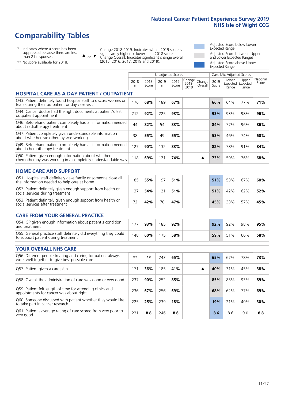Unadjusted Scores **Case Mix Adjusted Scores** 

# **Comparability Tables**

\* Indicates where a score has been suppressed because there are less than 21 responses.

 $\triangle$  or  $\nabla$ 

Change 2018-2019: Indicates where 2019 score is significantly higher or lower than 2018 score Change Overall: Indicates significant change overall (2015, 2016, 2017, 2018 and 2019).

Adjusted Score below Lower Expected Range Adjusted Score between Upper and Lower Expected Ranges Adjusted Score above Upper Expected Range

| ** No score available for 2018. |
|---------------------------------|
|---------------------------------|

|                                                                                                                       | 2018<br>n | 2018<br>Score | 2019<br>n | 2019<br>Score | Change<br>$2018 -$<br>2019 | Change<br>Overall | 2019<br>Score | Lower<br>Range | Upper<br>Expected Expected<br>Range | National<br>Score |
|-----------------------------------------------------------------------------------------------------------------------|-----------|---------------|-----------|---------------|----------------------------|-------------------|---------------|----------------|-------------------------------------|-------------------|
| <b>HOSPITAL CARE AS A DAY PATIENT / OUTPATIENT</b>                                                                    |           |               |           |               |                            |                   |               |                |                                     |                   |
| Q43. Patient definitely found hospital staff to discuss worries or<br>fears during their outpatient or day case visit | 176       | 68%           | 189       | 67%           |                            |                   | 66%           | 64%            | 77%                                 | 71%               |
| Q44. Cancer doctor had the right documents at patient's last<br>outpatient appointment                                | 212       | 92%           | 225       | 93%           |                            |                   | 93%           | 93%            | 98%                                 | 96%               |
| Q46. Beforehand patient completely had all information needed<br>about radiotherapy treatment                         | 44        | 82%           | 54        | 83%           |                            |                   | 84%           | 77%            | 96%                                 | 86%               |
| Q47. Patient completely given understandable information<br>about whether radiotherapy was working                    | 38        | 55%           | 49        | 55%           |                            |                   | 53%           | 46%            | 74%                                 | 60%               |
| Q49. Beforehand patient completely had all information needed<br>about chemotherapy treatment                         | 127       | 90%           | 132       | 83%           |                            |                   | 82%           | 78%            | 91%                                 | 84%               |
| Q50. Patient given enough information about whether<br>chemotherapy was working in a completely understandable way    | 118       | 69%           | 121       | 74%           |                            | ▲                 | 73%           | 59%            | 76%                                 | 68%               |
| <b>HOME CARE AND SUPPORT</b>                                                                                          |           |               |           |               |                            |                   |               |                |                                     |                   |
| Q51. Hospital staff definitely gave family or someone close all<br>the information needed to help care at home        | 185       | 55%           | 197       | 51%           |                            |                   | 51%           | 53%            | 67%                                 | 60%               |
| Q52. Patient definitely given enough support from health or<br>social services during treatment                       | 137       | 54%           | 121       | 51%           |                            |                   | 51%           | 42%            | 62%                                 | 52%               |
| Q53. Patient definitely given enough support from health or<br>social services after treatment                        | 72        | 42%           | 70        | 47%           |                            |                   | 45%           | 33%            | 57%                                 | 45%               |
| <b>CARE FROM YOUR GENERAL PRACTICE</b>                                                                                |           |               |           |               |                            |                   |               |                |                                     |                   |
| Q54. GP given enough information about patient's condition<br>and treatment                                           | 177       | 93%           | 185       | 92%           |                            |                   | 92%           | 92%            | 98%                                 | 95%               |
| Q55. General practice staff definitely did everything they could<br>to support patient during treatment               | 148       | 60%           | 175       | 58%           |                            |                   | 59%           | 51%            | 66%                                 | 58%               |
| <b>YOUR OVERALL NHS CARE</b>                                                                                          |           |               |           |               |                            |                   |               |                |                                     |                   |
| Q56. Different people treating and caring for patient always<br>work well together to give best possible care         | $* *$     | $***$         | 243       | 65%           |                            |                   | 65%           | 67%            | 78%                                 | 73%               |
| Q57. Patient given a care plan                                                                                        | 171       | 36%           | 185       | 41%           |                            | ▲                 | 40%           | 31%            | 45%                                 | 38%               |
| Q58. Overall the administration of care was good or very good                                                         | 237       | 90%           | 252       | 85%           |                            |                   | 85%           | 85%            | 93%                                 | 89%               |
| Q59. Patient felt length of time for attending clinics and<br>appointments for cancer was about right                 | 236       | 67%           | 256       | 69%           |                            |                   | 68%           | 62%            | 77%                                 | 69%               |
| Q60. Someone discussed with patient whether they would like<br>to take part in cancer research                        | 225       | 25%           | 239       | 18%           |                            |                   | 19%           | 21%            | 40%                                 | 30%               |
| Q61. Patient's average rating of care scored from very poor to<br>very good                                           | 231       | 8.8           | 246       | 8.6           |                            |                   | 8.6           | 8.6            | 9.0                                 | 8.8               |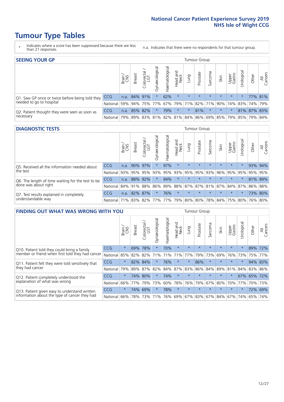# **Tumour Type Tables**

- \* Indicates where a score has been suppressed because there are less than 21 responses.
- n.a. Indicates that there were no respondents for that tumour group.

| <b>SEEING YOUR GP</b>                                      |            |       |                 |                   |                                     |                |                  |                 | Tumour Group |         |         |                 |                                                     |             |                |
|------------------------------------------------------------|------------|-------|-----------------|-------------------|-------------------------------------|----------------|------------------|-----------------|--------------|---------|---------|-----------------|-----------------------------------------------------|-------------|----------------|
|                                                            |            | Brain | <b>Breast</b>   | Colorectal<br>LGT | $\overline{\sigma}$<br>Gynaecologic | Haematological | Head and<br>Neck | Dung            | Prostate     | Sarcoma | Skin    | Upper<br>Gastro | Urological                                          | Other       | All<br>Cancers |
| Q1. Saw GP once or twice before being told they            | <b>CCG</b> |       | n.a. $84\%$ 91% |                   |                                     | 62%            | $\star$          | $\star$         | $\star$      | $\star$ | $\star$ | $\star$         | $\star$                                             |             | 77% 81%        |
| needed to go to hospital                                   | National   | 59%   |                 | 94% 75% 77%       |                                     |                |                  | 67% 79% 71% 82% |              |         |         |                 | 71% 90% 74% 83% 74% 79%                             |             |                |
| Q2. Patient thought they were seen as soon as<br>necessary | <b>CCG</b> | n.a.  |                 | 85% 82%           | $\star$                             | 79%            | $\star$          | $^\star$        | 81%          | $\star$ | $\star$ | $\star$         |                                                     | 81% 87% 83% |                |
|                                                            | National   | 79%   |                 |                   |                                     |                |                  |                 |              |         |         |                 | 89% 83% 81% 82% 81% 84% 86% 69% 85% 79% 85% 79% 84% |             |                |

#### **DIAGNOSTIC TESTS** Tumour Group

|                                                   |                                                                  | Brain | <b>Breast</b> | olorectal.<br>LGT<br>Ü | Gynaecological | Haematological | Head and<br>Neck | Lung    | Prostate | Sarcoma | Skin    | Upper<br>Gastro | Irological                                  | Other   | All<br>Cancers |
|---------------------------------------------------|------------------------------------------------------------------|-------|---------------|------------------------|----------------|----------------|------------------|---------|----------|---------|---------|-----------------|---------------------------------------------|---------|----------------|
| Q5. Received all the information needed about     | <b>CCG</b>                                                       | n.a.  | 90% 97%       |                        |                | 97%            | $\star$          | $\star$ | $\star$  | $\star$ | $\star$ | $\star$         | $\star$                                     | 93% 94% |                |
| the test                                          | National                                                         | 93%   | 95%           | 95%                    | 93%            | 95%            |                  | 93% 95% | 95%      | 93%     | 96%     | 95%             | 95%                                         | 95%     | 95%            |
| Q6. The length of time waiting for the test to be | <b>CCG</b>                                                       | n.a.  | 88%           | 92%                    | $\star$        | 94%            | $\star$          | $\star$ | $\star$  | $\star$ | $\star$ | $\star$         | $\star$                                     | 81% 89% |                |
| done was about right                              | National 84% 91% 88%                                             |       |               |                        |                |                |                  |         |          |         |         |                 | 86% 89% 88% 87% 87% 81% 87% 84% 87% 86% 88% |         |                |
| Q7. Test results explained in completely          | <b>CCG</b>                                                       | n.a.  | 82% 87%       |                        |                | 76%            | $\star$          | $\star$ | $\star$  | $\star$ | $\star$ | $\star$         | $\star$                                     |         | 73% 80%        |
| understandable way                                | National 71% 83% 82% 77% 77% 79% 80% 80% 78% 84% 75% 80% 76% 80% |       |               |                        |                |                |                  |         |          |         |         |                 |                                             |         |                |

| <b>FINDING OUT WHAT WAS WRONG WITH YOU</b>        |            |         |               |                 |                |                |                        |         | <b>Tumour Group</b> |         |                                                     |                 |            |         |                |
|---------------------------------------------------|------------|---------|---------------|-----------------|----------------|----------------|------------------------|---------|---------------------|---------|-----------------------------------------------------|-----------------|------------|---------|----------------|
|                                                   |            | Brain   | <b>Breast</b> | ╮<br>Colorectal | Gynaecological | Haematological | ad and<br>Neck<br>Head | Lung    | Prostate            | Sarcoma | Skin                                                | Upper<br>Gastro | Jrological | Other   | All<br>Cancers |
| Q10. Patient told they could bring a family       | <b>CCG</b> | $\star$ | 69%           | 78%             | $\star$        | 70%            | $\star$                | $\star$ | $\star$             | $\star$ | $\star$                                             | $\star$         | $\star$    | 89%     | 72%            |
| member or friend when first told they had cancer  | National   | 85%     | 82%           | 82%             | 71%            | 71%            | 71%                    | 77%     | 79%                 | 73%     | 69%                                                 | 76%             | 73%        | 75%     | 77%            |
| Q11. Patient felt they were told sensitively that | <b>CCG</b> | $\star$ | 82%           | 84%             | $\star$        | 76%            | $\star$                | $\star$ | 86%                 | $\star$ | $\star$                                             | $\star$         | $\star$    | 94%     | 83%            |
| they had cancer                                   | National   | 79%     | 89%           | 87%             | 82%            | 84%            | 87%                    | 83%     | 86%                 | 84%     | 89%                                                 | 81%             | 84%        | 83%     | 86%            |
| Q12. Patient completely understood the            | <b>CCG</b> | $\star$ | 74%           | 80%             | $\star$        | 74%            | $\star$                | $\star$ | $\star$             | $\star$ | $\star$                                             | $\star$         |            | 67% 65% | 172%           |
| explanation of what was wrong                     | National   | 66%     | 77%           | 79%             | 73%            | 60%            | 78%                    | 76%     | 79%                 | 67%     | 80%                                                 | 70%             | 77%        | 70%     | 73%            |
| Q13. Patient given easy to understand written     | <b>CCG</b> | $\star$ | 74%           | 69%             | $\star$        | 78%            | $\ast$                 | $\star$ | $\star$             | $\star$ | $\star$                                             | $\star$         | $^\star$   | 72%     | 69%            |
| information about the type of cancer they had     | National   | 66%     |               |                 |                |                |                        |         |                     |         | 78% 73% 71% 76% 69% 67% 83% 67% 84% 67% 74% 65% 74% |                 |            |         |                |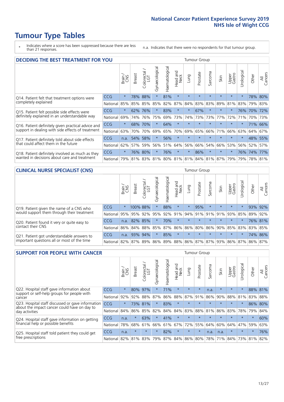# **Tumour Type Tables**

\* Indicates where a score has been suppressed because there are less than 21 responses.

n.a. Indicates that there were no respondents for that tumour group.

| <b>DECIDING THE BEST TREATMENT FOR YOU</b>         |            |         |               |                    |                |                |                        |                             | <b>Tumour Group</b> |         |         |                 |            |         |                |
|----------------------------------------------------|------------|---------|---------------|--------------------|----------------|----------------|------------------------|-----------------------------|---------------------|---------|---------|-----------------|------------|---------|----------------|
|                                                    |            | Brain   | <b>Breast</b> | Colorectal.<br>LGT | Gynaecological | Haematological | ad and<br>Neck<br>Head | Lung                        | Prostate            | Sarcoma | Skin    | Upper<br>Gastro | Jrological | Other   | All<br>Cancers |
| Q14. Patient felt that treatment options were      | CCG        | $\star$ | 78%           | 88%                | $\star$        | 81%            | $\star$                | $\star$                     | $\star$             | $\star$ | $\star$ | $\star$         | $\star$    |         | 78% 80%        |
| completely explained                               | National   | 85%     | 85%           | 85%                | 85%            | 82%            | 87%                    | 84%                         | 83%                 | 83%     | 89%     | 81%             | 83%        | 79%     | 83%            |
| Q15. Patient felt possible side effects were       | <b>CCG</b> | $\star$ | 62%           | 76%                |                | 83%            | $\star$                | $\star$                     | 67%                 | $\star$ | $\star$ | $\star$         | 76%        | 70%     | 72%            |
| definitely explained in an understandable way      | National   | 69%     | 74%           | 76%                | 75%            | 69%            | 73%                    | 74%                         | 73%                 | 73%     | 77%     | 72%             | 71%        | 70%     | 73%            |
| Q16. Patient definitely given practical advice and | <b>CCG</b> | $\star$ | 68%           | 70%                | $\star$        | 64%            | $\star$                | $\star$                     | $\star$             | $\star$ | $\star$ | $\star$         | $^\star$   |         | 71% 66%        |
| support in dealing with side effects of treatment  | National   | 63%     | 70%           | 70%                | 69%            | 65%            | 70%                    | 69%                         | 65%                 | 66%     | 71%     | 66%             | 63%        | 64%     | 67%            |
| Q17. Patient definitely told about side effects    | <b>CCG</b> | n.a.    | 54%           | 58%                | $\star$        | 56%            | $\star$                | $\star$                     | $\star$             | $\star$ | $\star$ | $\star$         | $^\star$   | 48%     | 55%            |
| that could affect them in the future               | National   | 62%     | 57%           | 59%                | 56%            | 51%            | 64%                    | 56%                         | 66%                 | 54%     | 66%     | 53%             | 56%        | 52%     | 57%            |
| Q18. Patient definitely involved as much as they   | <b>CCG</b> | $\star$ | 76%           | 80%                | $\star$        | 76%            | $\star$                | $\star$                     | 86%                 | $\star$ | $\star$ | $\star$         |            | 76% 74% | 177%           |
| wanted in decisions about care and treatment       | National   | 79%     |               | 81% 83%            |                |                |                        | 81% 80% 81% 81% 84% 81% 87% |                     |         |         | 79%             | 79%        | 78% 81% |                |

#### **CLINICAL NURSE SPECIALIST (CNS)** Tumour Group

|                                                                                        |          | Brain           | <b>Breast</b>   | Colorectal<br>LGT | ᠊ᢛ<br>Gynaecologic | $\overline{\sigma}$<br>ت<br>aematologi | Head and<br>Neck        | Lung    | Prostate | Sarcoma | Skin    | Upper<br>Gastro | $\overline{\sigma}$<br>Irologica | Other | All<br>Cancers |
|----------------------------------------------------------------------------------------|----------|-----------------|-----------------|-------------------|--------------------|----------------------------------------|-------------------------|---------|----------|---------|---------|-----------------|----------------------------------|-------|----------------|
| Q19. Patient given the name of a CNS who<br>would support them through their treatment | CCG      | $\star$         | 100% 88%        |                   |                    | 88%                                    | $\star$                 |         | 95%      | $\star$ | $\star$ | $\star$         |                                  |       | 93% 92%        |
|                                                                                        | National | 95%             | 95%             | 92%               | 95%                | 92%                                    | 91%                     |         | 94% 91%  | 91%     | 91%     | 93%             | 85%                              | 89%   | 92%            |
| Q20. Patient found it very or quite easy to                                            | CCG      | n.a.            | 82% 85%         |                   |                    | 70%                                    | $\star$                 | $\star$ | $\star$  | $\star$ | $\star$ | $\star$         |                                  |       | 76% 81%        |
| contact their CNS                                                                      | National |                 | 86% 84% 88% 85% |                   |                    | 87%                                    | 86%                     | 86% 80% |          |         |         | 86% 90% 85% 83% |                                  | 83%   | 85%            |
| Q21. Patient got understandable answers to                                             | CCG      | n.a.            | 93%             | 94%               |                    | 85%                                    | $\star$                 | $\star$ | $\star$  | $\star$ | $\star$ | $\star$         | $\star$                          |       | 74% 86%        |
| important questions all or most of the time                                            | National | 82% 87% 89% 86% |                 |                   |                    |                                        | 89% 88% 86% 87% 87% 93% |         |          |         |         |                 | 86% 87%                          | 86%   | 87%            |

| <b>SUPPORT FOR PEOPLE WITH CANCER</b>                                                             |            |         |               |            |                |                |                        |             | <b>Tumour Group</b> |         |         |                 |            |        |                |
|---------------------------------------------------------------------------------------------------|------------|---------|---------------|------------|----------------|----------------|------------------------|-------------|---------------------|---------|---------|-----------------|------------|--------|----------------|
|                                                                                                   |            | Brain   | <b>Breast</b> | Colorectal | Gynaecological | Haematological | ad and<br>Neck<br>Head | Lung        | Prostate            | Sarcoma | Skin    | Upper<br>Gastro | Jrological | Other  | All<br>Cancers |
| Q22. Hospital staff gave information about                                                        | <b>CCG</b> | $\star$ | 80%           | 97%        | $\star$        | 71%            | $\star$                | $\star$     | $\star$             | n.a.    | $\star$ | $\star$         | $\star$    | 88%    | 81%            |
| support or self-help groups for people with<br>cancer                                             | National   | 92%     | 92%           | 88%        | 87%            | 86%            | 88%                    | 87%         | 91%                 | 86%     | 90%     | 88%             | 81%        | 83%    | 88%            |
| Q23. Hospital staff discussed or gave information<br>about the impact cancer could have on day to | CCG.       | $\star$ | 73%           | 81%        | $\star$        | 83%            | $\star$                | $\star$     | $\star$             | $\star$ | $\star$ | $\star$         | $\star$    | 86%    | 80%            |
| day activities                                                                                    | National   | 84%     | 86%           | 85%        | 82%            | 84%            | 84%                    | 83%         | 88%                 | 81%     | 86%     | 83%             | 78%        | 79%    | 84%            |
| Q24. Hospital staff gave information on getting                                                   | CCG        | n.a.    | $\star$       | 63%        | $\star$        | 41%            | $\ast$                 | $\star$     | $\star$             | $\star$ |         | $\star$         | $\star$    | $\ast$ | 60%            |
| financial help or possible benefits                                                               | National   | 78%     | 68%           | 61%        | 66%            | 61%            | 67%                    | 72%         | 55%                 | 64%     | 60%     | 64%             | 47%        | 59%    | 63%            |
| Q25. Hospital staff told patient they could get                                                   | <b>CCG</b> | n.a.    | $\star$       | $\star$    | $\star$        | 82%            | $\star$                | $\star$     | $\star$             | n.a.    | n.a.    | $\star$         | $\star$    | $\ast$ | 76%            |
| free prescriptions                                                                                | National   | 82%     | 81%           | 83%        | 79%            | 87%            |                        | 84% 86% 80% |                     | 78%     | 71%     | 84%             | 73%        | 81%    | 82%            |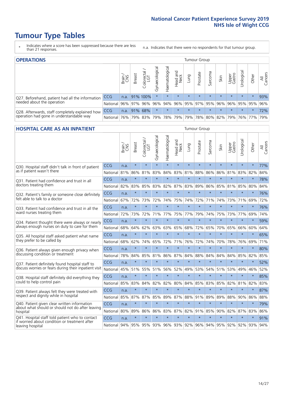# **Tumour Type Tables**

- \* Indicates where a score has been suppressed because there are less than 21 responses.
- n.a. Indicates that there were no respondents for that tumour group.

| <b>OPERATIONS</b>                                                                           |              |              |               |            |                |                |                         |         | Tumour Group |         |         |                 |                                                  |         |                |
|---------------------------------------------------------------------------------------------|--------------|--------------|---------------|------------|----------------|----------------|-------------------------|---------|--------------|---------|---------|-----------------|--------------------------------------------------|---------|----------------|
|                                                                                             |              | Brain<br>CNS | <b>Breast</b> | Colorectal | Gynaecological | Haematological | Head and<br>Neck        | Lung    | Prostate     | Sarcoma | Skin    | Upper<br>Gastro | σ<br>Jrologica                                   | Other   | All<br>Cancers |
| Q27. Beforehand, patient had all the information                                            | <b>CCG</b>   | n.a.         |               | 91% 100%   | $\star$        |                | $\star$                 | $\star$ | $\star$      | $\star$ | $\star$ | $\star$         | $\star$                                          | $\star$ | 93%            |
| needed about the operation                                                                  | National 96% |              |               | 97% 96%    | 96%            |                | 94% 96% 95% 97% 95% 96% |         |              |         |         |                 | 96% 95% 95%                                      |         | 96%            |
| Q28. Afterwards, staff completely explained how<br>operation had gone in understandable way | <b>CCG</b>   | n.a.         |               | 91% 68%    | $\star$        | $\star$        | $\star$                 | $\star$ | $\star$      | $\star$ | $\star$ | $\star$         | $\star$                                          | $\star$ | 72%            |
|                                                                                             | National 76% |              |               | 79% 83%    |                |                |                         |         |              |         |         |                 | 79%  78%  79%  79%  78%  80%  82%  79%  76%  77% |         | 79%            |

#### **HOSPITAL CARE AS AN INPATIENT** Tumour Group

|                                                                                                   |            | Brain | <b>Breast</b> | Colorectal /<br>LGT | Gynaecological | Haematological | Head and<br>Neck | Lung    | Prostate | Sarcoma | Skin    | Upper<br>Gastro | Urological | Other   | Cancers<br>$\overline{\overline{z}}$ |
|---------------------------------------------------------------------------------------------------|------------|-------|---------------|---------------------|----------------|----------------|------------------|---------|----------|---------|---------|-----------------|------------|---------|--------------------------------------|
| Q30. Hospital staff didn't talk in front of patient                                               | CCG        | n.a.  | $\star$       | $\star$             | $\star$        | $\star$        | $\star$          | $\star$ | $\star$  | $\star$ | $\star$ | $\star$         | $\star$    | $\star$ | 77%                                  |
| as if patient wasn't there                                                                        | National   | 81%   | 86%           | 81%                 | 83%            | 84%            | 83%              | 81%     | 88%      | 86%     | 86%     | 81%             | 83%        | 82%     | 84%                                  |
| 031. Patient had confidence and trust in all<br>doctors treating them                             | CCG        | n.a.  | $\star$       | $\star$             | $\star$        | $\star$        | $\star$          | $\star$ | $\star$  | $\star$ | $\star$ | $\star$         | $\star$    | $\star$ | 78%                                  |
|                                                                                                   | National   | 82%   | 83%           | 85%                 | 83%            | 82%            |                  | 87% 83% | 89%      | 86%     | 85%     | 81%             | 85%        | 80%     | 84%                                  |
| Q32. Patient's family or someone close definitely                                                 | CCG        | n.a.  | $\star$       | $\star$             | $\star$        | $\star$        | $\star$          | $\star$ | $\star$  | $\star$ | $\star$ | $\star$         | $\star$    | $\star$ | 76%                                  |
| felt able to talk to a doctor                                                                     | National   | 67%   | 72%           | 73%                 | 72%            | 74%            | 75%              | 74%     | 72%      | 71%     | 74%     | 73%             | 71%        | 69%     | 72%                                  |
| Q33. Patient had confidence and trust in all the<br>ward nurses treating them                     | CCG        | n.a.  | $\star$       | $\star$             | $\star$        | $\star$        | $\star$          | $\star$ | $\star$  | $\star$ | $\star$ | $\star$         | $\star$    | $\star$ | 76%                                  |
|                                                                                                   | National   | 72%   | 73%           | 72%                 |                | 71% 77%        |                  | 75% 77% | 79%      | 74%     | 75%     | 73%             | 77%        | 69%     | 74%                                  |
| Q34. Patient thought there were always or nearly<br>always enough nurses on duty to care for them | CCG        | n.a.  | $\star$       | $\star$             | $\star$        | $\star$        | $\star$          | $\star$ | $\star$  | $\star$ | $\star$ | $\star$         | $\star$    | $\star$ | 59%                                  |
|                                                                                                   | National   | 68%   | 64%           | 62%                 | 63%            | 63%            | 65%              | 68%     | 72%      | 65%     | 70%     | 65%             | 66%        | 60%     | 64%                                  |
| Q35. All hospital staff asked patient what name<br>they prefer to be called by                    | CCG        | n.a.  | $\star$       | $\star$             | $\star$        | $\star$        | $\star$          | $\star$ | $\star$  | $\star$ | $\star$ | $\star$         | $\star$    | $\star$ | 65%                                  |
|                                                                                                   | National   | 68%   | 62%           | 74%                 | 65%            | 72%            | 71%              | 76%     | 72%      | 74%     | 70%     | 78%             | 76%        | 69%     | 71%                                  |
| Q36. Patient always given enough privacy when                                                     | CCG        | n.a.  | $\star$       | $\star$             | $\star$        | $\star$        | $\star$          | $\star$ | $\star$  | $\star$ | $\star$ | $\star$         | $\star$    | $\star$ | 80%                                  |
| discussing condition or treatment                                                                 | National   | 78%   | 84%           | 85%                 | 81%            | 86%            |                  | 87% 84% | 88%      | 84%     | 84%     | 84%             | 85%        | 82%     | 85%                                  |
| Q37. Patient definitely found hospital staff to                                                   | <b>CCG</b> | n.a.  | $\star$       | $\star$             | $\star$        | $\star$        | $\star$          | $\star$ | $\star$  | $\star$ | $\star$ |                 | $\star$    | $\star$ | 52%                                  |
| discuss worries or fears during their inpatient visit                                             | National   | 45%   | 51%           | 55%                 | 51%            | 56%            | 52%              | 49%     | 53%      | 54%     | 51%     | 53%             | 49%        | 46%     | 52%                                  |
| Q38. Hospital staff definitely did everything they                                                | CCG        | n.a.  | $\star$       | $\star$             | $\star$        | $\star$        | $\star$          | $\star$ | $\star$  | $\star$ | $\star$ | $\star$         | $\star$    | $\star$ | 85%                                  |
| could to help control pain                                                                        | National   | 85%   | 83%           | 84%                 | 82%            | 82%            | 80%              | 84%     | 85%      | 83%     | 85%     | 82%             | 81%        | 82%     | 83%                                  |
| Q39. Patient always felt they were treated with                                                   | CCG        | n.a.  | $\star$       | $\star$             | $\star$        | $\star$        | $\star$          | $\star$ | $\star$  | $\star$ | $\star$ | $\star$         | $\star$    | $\star$ | 87%                                  |
| respect and dignity while in hospital                                                             | National   | 85%   | 87%           | 87%                 | 85%            | 89%            |                  | 87% 88% | 91%      | 89%     | 89%     | 88%             | 90%        | 86%     | 88%                                  |
| Q40. Patient given clear written information<br>about what should or should not do after leaving  | CCG        | n.a.  | $\star$       | $\star$             | $\star$        | $\star$        | $\star$          | $\star$ | $\star$  | $\star$ | $\star$ | $\star$         | $\star$    | $\star$ | 79%                                  |
| hospital                                                                                          | National   | 80%   | 89%           | 86%                 | 86%            | 83%            | 87%              | 82%     | 91%      | 85%     | 90%     | 82%             | 87%        | 83%     | 86%                                  |
| Q41. Hospital staff told patient who to contact                                                   | CCG        | n.a.  | $\star$       | $\star$             | $\star$        | $\star$        | $\star$          | $\star$ | $\star$  | $\star$ | $\star$ | $\star$         | $\star$    | $\star$ | 91%                                  |
| if worried about condition or treatment after<br>leaving hospital                                 | National   | 94%   | 95%           | 95% 93% 96%         |                |                |                  | 93% 92% | 96%      | 94%     | 95% 92% |                 | 92%        | 93%     | 94%                                  |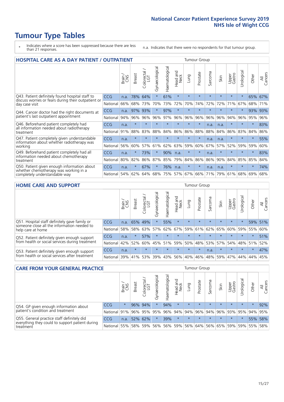# **Tumour Type Tables**

- \* Indicates where a score has been suppressed because there are less than 21 responses.
- n.a. Indicates that there were no respondents for that tumour group.

| <b>HOSPITAL CARE AS A DAY PATIENT / OUTPATIENT</b>                                                                    |            |       |               |            |                |                |                        |         |          | <b>Tumour Group</b> |         |                 |            |         |                |  |  |  |
|-----------------------------------------------------------------------------------------------------------------------|------------|-------|---------------|------------|----------------|----------------|------------------------|---------|----------|---------------------|---------|-----------------|------------|---------|----------------|--|--|--|
|                                                                                                                       |            | Brain | <b>Breast</b> | Colorectal | Gynaecological | Haematological | ad and<br>Neck<br>Head | Lung    | Prostate | arcoma<br>vĀ        | Skin    | Upper<br>Gastro | Urological | Other   | All<br>Cancers |  |  |  |
| Q43. Patient definitely found hospital staff to                                                                       | <b>CCG</b> | n.a.  | 78%           | 64%        | $\star$        | 61%            | $\star$                | $\star$ | $\star$  | $\star$             | $\star$ | $\star$         | $\star$    | 65%     | 67%            |  |  |  |
| discuss worries or fears during their outpatient or<br>day case visit                                                 | National   | 66%   | 68%           | 73%        | 70%            | 73%            | 72%                    | 70%     | 74%      | 72%                 | 72%     | 71%             | 67%        | 68%     | 71%            |  |  |  |
| Q44. Cancer doctor had the right documents at<br>patient's last outpatient appointment                                | <b>CCG</b> | n.a.  | 97%           | 93%        | $\star$        | 97%            | $\star$                | $\star$ | $\star$  | $\star$             | $\star$ | $\star$         | $\star$    | 93%     | 93%            |  |  |  |
|                                                                                                                       | National   | 94%   | 96%           | 96%        | 96%            | 97%            | 96%                    | 96%     | 96%      | 96%                 | 96%     | 94%             | 96%        | 95%     | 96%            |  |  |  |
| Q46. Beforehand patient completely had<br>all information needed about radiotherapy                                   | CCG        | n.a.  | $\star$       | $\star$    |                |                | $\star$                | $\star$ | $\star$  | n.a.                | n.a.    | $\star$         | $\star$    | $\star$ | 83%            |  |  |  |
| treatment                                                                                                             | National   | 91%   | 88%           | 83%        | 88%            | 84%            | 86%                    | 86%     | 88%      | 88%                 | 84%     | 86%             | 83%        | 84%     | 86%            |  |  |  |
| Q47. Patient completely given understandable<br>information about whether radiotherapy was                            | CCG        | n.a.  | $\star$       | $\star$    |                |                | $\star$                | $\star$ | $\star$  | n.a.                | n.a.    | $\star$         | $\star$    | $\star$ | 55%            |  |  |  |
| working                                                                                                               | National   | 56%   | 60%           | 57%        | 61%            | 62%            | 63%                    | 59%     | 60%      | 67%                 | 57%     | 52%             | 59%        | 59%     | 60%            |  |  |  |
| Q49. Beforehand patient completely had all                                                                            | CCG        | n.a.  | $\star$       | 73%        | $\star$        | 90%            | n.a.                   | $\star$ | $\star$  | n.a.                | $\star$ | $\star$         | $\star$    | $\ast$  | 83%            |  |  |  |
| information needed about chemotherapy<br>treatment                                                                    | National   | 80%   | 82%           | 86%        | 87%            | 85%            | 79%                    | 84%     | 86%      | 86%                 | 90%     | 84%             | 85%        | 85%     | 84%            |  |  |  |
| Q50. Patient given enough information about<br>whether chemotherapy was working in a<br>completely understandable way | <b>CCG</b> | n.a.  | $\star$       | 67%        | $\star$        | 76%            | n.a.                   | $\star$ | $\star$  | n.a.                | n.a.    | $\star$         | $\star$    | $\ast$  | 74%            |  |  |  |
|                                                                                                                       | National   | 54%   | 62%           | 64%        | 68%            | 75%            |                        | 57% 67% | 66%      | 71%                 | 79%     | 61%             | 68%        | 69%     | 68%            |  |  |  |

#### **HOME CARE AND SUPPORT** Tumour Group

|                                                                                                                   |            | Brain | <b>Breast</b> | olorectal<br>LGT<br>Ü | ᢛ<br>Gynaecologic | Haematological | ad and<br>Neck<br>Head | <b>Dung</b> | Prostate | Sarcoma | Skin    | Upper<br>Gastro | rological   | Other   | All<br>Cancers |
|-------------------------------------------------------------------------------------------------------------------|------------|-------|---------------|-----------------------|-------------------|----------------|------------------------|-------------|----------|---------|---------|-----------------|-------------|---------|----------------|
| Q51. Hospital staff definitely gave family or<br>someone close all the information needed to<br>help care at home | <b>CCG</b> | n.a.  | 65% 49%       |                       |                   | 55%            | $\star$                | $\star$     | $\star$  | $\star$ | $\star$ | $\star$         |             | 59%     | 51%            |
|                                                                                                                   | National   | 58%   | 58%           | 63%                   | 57%               |                | 62% 67%                |             | 59% 61%  |         | 62% 65% | 60% 59% 55%     |             |         | 60%            |
| Q52. Patient definitely given enough support<br>from health or social services during treatment                   | <b>CCG</b> | n.a.  |               | 57%                   | $\star$           | $\star$        | $\star$                | $\star$     | $\star$  | $\star$ | $\star$ | $\star$         | $\star$     | $\star$ | 51%            |
|                                                                                                                   | National   | 42%   | 52%           | 60%                   |                   | 45% 51%        | 59%                    | 50%         | 48%      |         | 53% 57% |                 | 54% 48% 51% |         | 52%            |
| Q53. Patient definitely given enough support<br>from health or social services after treatment                    | <b>CCG</b> | n.a.  | $\star$       | $\star$               | $\star$           |                | $\star$                | $\star$     | $\star$  | n.a.    | $\star$ | $\star$         | $\star$     | $\star$ | 47%            |
|                                                                                                                   | National l | 39%   | 41% 53%       |                       | 39%               | $ 43\% $       | 56%                    | 40%         | 46%      | 48%     | 59%     | 47%             | 44%         | 44%     | 45%            |

| <b>CARE FROM YOUR GENERAL PRACTICE</b>                                                                     |                      |         |               |                   |                | Tumour Group   |                                         |         |                             |         |         |                 |           |         |                |
|------------------------------------------------------------------------------------------------------------|----------------------|---------|---------------|-------------------|----------------|----------------|-----------------------------------------|---------|-----------------------------|---------|---------|-----------------|-----------|---------|----------------|
|                                                                                                            |                      | Brain,  | <b>Breast</b> | Colorectal<br>LGT | Gynaecological | Haematological | Head and<br>Neck                        | Lung    | Prostate                    | Sarcoma | Skin    | Upper<br>Gastro | Urologica | Other   | All<br>Cancers |
| Q54. GP given enough information about<br>patient's condition and treatment                                | <b>CCG</b>           | $\star$ |               | 96% 94%           | $\star$        | 94%            | $\star$                                 | $\star$ | $\star$                     | $\star$ | $\star$ | $\star$         | $\star$   | $\star$ | 92%            |
|                                                                                                            | National 91% 96% 95% |         |               |                   | 95%            |                | 96% 94% 94% 96% 94% 96% 93% 95% 94% 95% |         |                             |         |         |                 |           |         |                |
| Q55. General practice staff definitely did<br>everything they could to support patient during<br>treatment | <b>CCG</b>           | n.a.    |               | 52% 62%           | $\star$        | 39%            | $\star$                                 | $\star$ | $\star$                     | $\star$ | $\star$ | $\star$         | $\star$   | 55%     | 58%            |
|                                                                                                            | National             | 55%     |               | 58% 59%           | 56%            |                | 56% 59%                                 |         | 56% 64% 56% 65% 59% 59% 55% |         |         |                 |           |         | 58%            |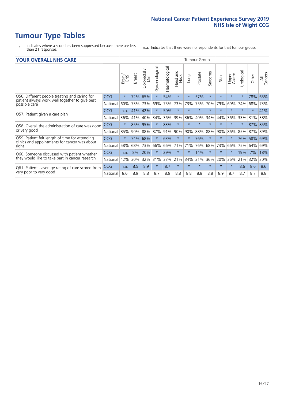# **Tumour Type Tables**

- \* Indicates where a score has been suppressed because there are less than 21 responses.
- n.a. Indicates that there were no respondents for that tumour group.

#### **YOUR OVERALL NHS CARE** THE TWO CONTROLLER THE THE THROUP CHANGE THE TUMOUR GROUP

|            | Brain                                            | <b>Breast</b> | Colorectal | Gynaecological               | Haematological | aad and<br>Neck<br>Head | Lung    | Prostate | Sarcoma    | Skin    | Upper<br>Gastro | $\overline{c}$<br>Urologic | Other  | All<br>Cancers |
|------------|--------------------------------------------------|---------------|------------|------------------------------|----------------|-------------------------|---------|----------|------------|---------|-----------------|----------------------------|--------|----------------|
| <b>CCG</b> | $\star$                                          | 72%           | 65%        | $\star$                      | 54%            | $\star$                 | $\star$ | 57%      | $\star$    | $\star$ | $\star$         | $\star$                    | 78%    | 65%            |
| National   | 60%                                              |               |            | 69%                          | 75%            | 73%                     | 73%     | 75%      | 70%        | 79%     | 69%             | 74%                        | 68%    | 73%            |
| <b>CCG</b> | n.a.                                             | 41%           |            |                              | 50%            | $\star$                 | $\star$ | $\star$  | $\star$    | $\star$ | $\star$         | $\star$                    | $\ast$ | 41%            |
| National   | 36%                                              | 41%           | 40%        | 34%                          | 36%            | 39%                     | 36%     | 40%      | 34%        | 44%     | 36%             | 33%                        | 31%    | 38%            |
| <b>CCG</b> | $\star$                                          | 85%           | 95%        |                              | 83%            | $\star$                 | $\star$ | $\star$  | $\star$    | $\star$ | $\star$         |                            | 87%    | 85%            |
| National   | 85%                                              | 90%           |            | 87%                          | 91%            | 90%                     | 90%     |          | 88%        | 90%     | 86%             | 85%                        |        | 89%            |
| <b>CCG</b> | $\star$                                          | 74%           |            | $\star$                      | 63%            | $\star$                 | $\star$ | 76%      | $\star$    | $\star$ | $\star$         | 76%                        |        | 69%            |
| National   | 58%                                              | 68%           | 73%        | 66%                          | 66%            | 71%                     | 71%     | 76%      | 68%        | 73%     | 66%             | 75%                        | 64%    | 69%            |
| <b>CCG</b> | n.a.                                             | 8%            | 20%        |                              | 29%            | $\star$                 | $\star$ | 14%      | $\star$    | $\star$ | $\star$         | 19%                        | 7%     | 18%            |
| National   | 42%                                              | 30%           | 32%        | 31%                          | 33%            | 21%                     | 34%     |          | 36%        | 20%     | 36%             | 21%                        | 32%    | 30%            |
| CCG        | n.a.                                             | 8.5           | 8.9        | $\star$                      | 8.7            | $\star$                 | $\star$ | $\star$  | $\star$    | $\star$ | $\star$         | 8.6                        | 8.6    | 8.6            |
| National   | 8.6                                              | 8.9           | 8.8        | 8.7                          | 8.9            | 8.8                     | 8.8     | 8.8      | 8.8        | 8.9     | 8.7             | 8.7                        | 8.7    | 8.8            |
|            | Q58. Overall the administration of care was good |               |            | 73% 73%<br>42%<br>88%<br>68% |                |                         |         |          | 88%<br>31% |         |                 |                            |        | 87%<br>58%     |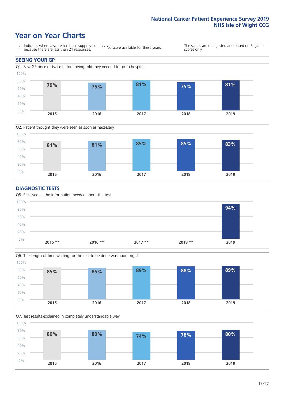### **Year on Year Charts**





#### **DIAGNOSTIC TESTS**





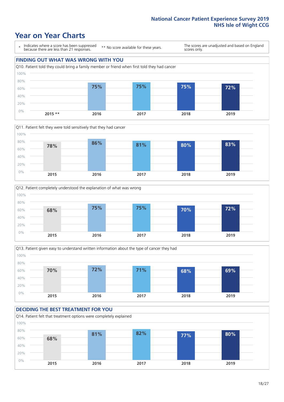### **Year on Year Charts**

\* Indicates where a score has been suppressed because there are less than 21 responses.

\*\* No score available for these years.

The scores are unadjusted and based on England scores only.









#### **DECIDING THE BEST TREATMENT FOR YOU** Q14. Patient felt that treatment options were completely explained 0% 20% 40% 60% 80% 100% **2015 2016 2017 2018 2019 68% 81% 82% 77% 80%**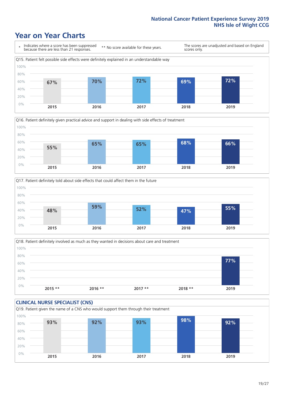### **Year on Year Charts**







Q18. Patient definitely involved as much as they wanted in decisions about care and treatment  $0%$ 20% 40% 60% 80% 100% **2015 \*\* 2016 \*\* 2017 \*\* 2018 \*\* 2019 77%**

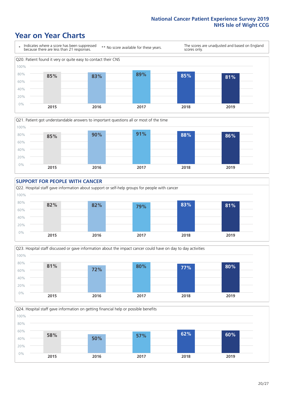### **Year on Year Charts**









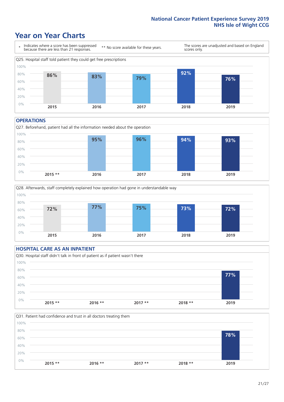### **Year on Year Charts**



#### **OPERATIONS**





### **HOSPITAL CARE AS AN INPATIENT** Q30. Hospital staff didn't talk in front of patient as if patient wasn't there 0% 20% 40% 60% 80% 100% **2015 \*\* 2016 \*\* 2017 \*\* 2018 \*\* 2019 77%**

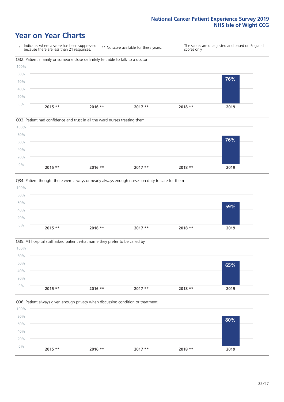### **Year on Year Charts**









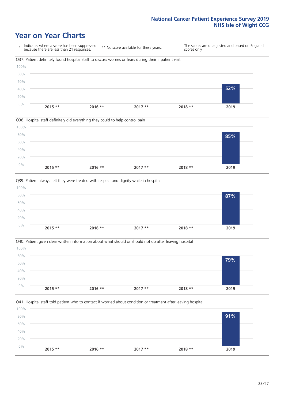### **Year on Year Charts**









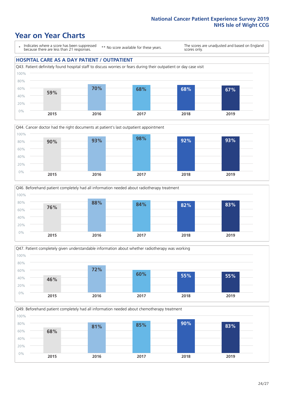### **Year on Year Charts**

\* Indicates where a score has been suppressed because there are less than 21 responses.

\*\* No score available for these years.

The scores are unadjusted and based on England scores only.

#### **HOSPITAL CARE AS A DAY PATIENT / OUTPATIENT**









Q49. Beforehand patient completely had all information needed about chemotherapy treatment

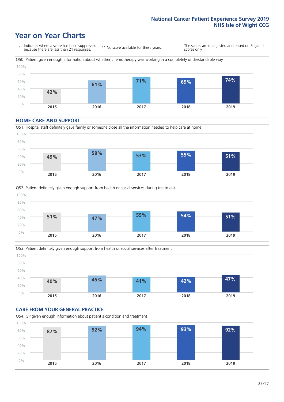### **Year on Year Charts**

\* Indicates where a score has been suppressed because there are less than 21 responses. \*\* No score available for these years. The scores are unadjusted and based on England scores only. Q50. Patient given enough information about whether chemotherapy was working in a completely understandable way 0% 20% 40% 60% 80% 100% **2015 2016 2017 2018 2019 42% 61% 71% 69% 74%**

#### **HOME CARE AND SUPPORT**







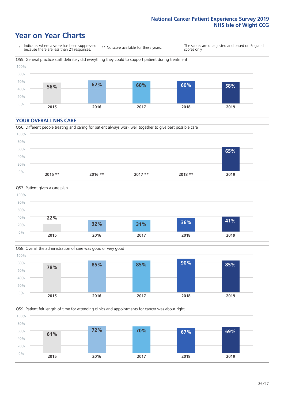### **Year on Year Charts**

\* Indicates where a score has been suppressed because there are less than 21 responses.

\*\* No score available for these years.

The scores are unadjusted and based on England scores only.



#### **YOUR OVERALL NHS CARE**







Q59. Patient felt length of time for attending clinics and appointments for cancer was about right 100%